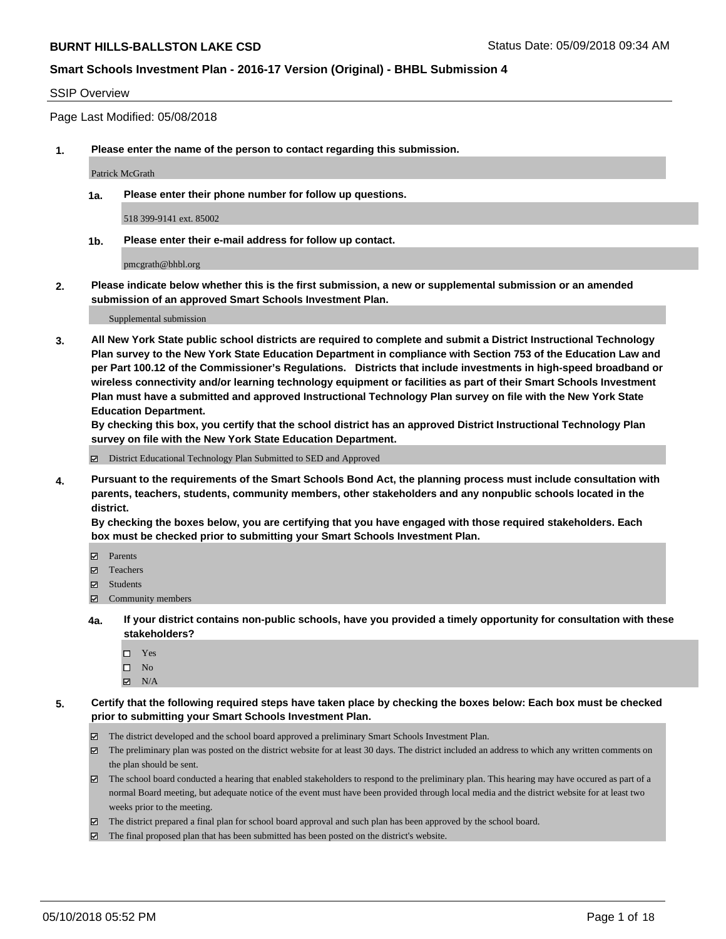#### SSIP Overview

Page Last Modified: 05/08/2018

**1. Please enter the name of the person to contact regarding this submission.**

Patrick McGrath

**1a. Please enter their phone number for follow up questions.**

518 399-9141 ext. 85002

**1b. Please enter their e-mail address for follow up contact.**

pmcgrath@bhbl.org

**2. Please indicate below whether this is the first submission, a new or supplemental submission or an amended submission of an approved Smart Schools Investment Plan.**

Supplemental submission

**3. All New York State public school districts are required to complete and submit a District Instructional Technology Plan survey to the New York State Education Department in compliance with Section 753 of the Education Law and per Part 100.12 of the Commissioner's Regulations. Districts that include investments in high-speed broadband or wireless connectivity and/or learning technology equipment or facilities as part of their Smart Schools Investment Plan must have a submitted and approved Instructional Technology Plan survey on file with the New York State Education Department.** 

**By checking this box, you certify that the school district has an approved District Instructional Technology Plan survey on file with the New York State Education Department.**

District Educational Technology Plan Submitted to SED and Approved

**4. Pursuant to the requirements of the Smart Schools Bond Act, the planning process must include consultation with parents, teachers, students, community members, other stakeholders and any nonpublic schools located in the district.** 

**By checking the boxes below, you are certifying that you have engaged with those required stakeholders. Each box must be checked prior to submitting your Smart Schools Investment Plan.**

- Parents
- Teachers
- Students
- Community members
- **4a. If your district contains non-public schools, have you provided a timely opportunity for consultation with these stakeholders?**
	- Yes
	- $\square$  No
	- $N/A$
- **5. Certify that the following required steps have taken place by checking the boxes below: Each box must be checked prior to submitting your Smart Schools Investment Plan.**
	- The district developed and the school board approved a preliminary Smart Schools Investment Plan.
	- $\boxtimes$  The preliminary plan was posted on the district website for at least 30 days. The district included an address to which any written comments on the plan should be sent.
	- $\boxtimes$  The school board conducted a hearing that enabled stakeholders to respond to the preliminary plan. This hearing may have occured as part of a normal Board meeting, but adequate notice of the event must have been provided through local media and the district website for at least two weeks prior to the meeting.
	- The district prepared a final plan for school board approval and such plan has been approved by the school board.
	- $\boxtimes$  The final proposed plan that has been submitted has been posted on the district's website.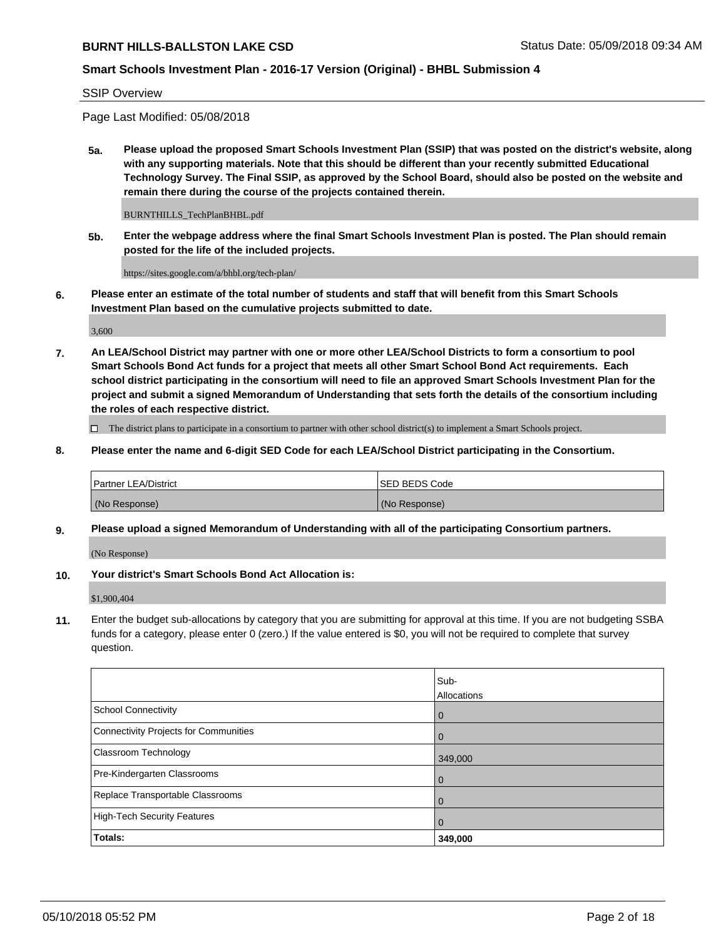### **Smart Schools Investment Plan - 2016-17 Version (Original) - BHBL Submission 4**

SSIP Overview

Page Last Modified: 05/08/2018

**5a. Please upload the proposed Smart Schools Investment Plan (SSIP) that was posted on the district's website, along with any supporting materials. Note that this should be different than your recently submitted Educational Technology Survey. The Final SSIP, as approved by the School Board, should also be posted on the website and remain there during the course of the projects contained therein.**

BURNTHILLS\_TechPlanBHBL.pdf

**5b. Enter the webpage address where the final Smart Schools Investment Plan is posted. The Plan should remain posted for the life of the included projects.**

https://sites.google.com/a/bhbl.org/tech-plan/

**6. Please enter an estimate of the total number of students and staff that will benefit from this Smart Schools Investment Plan based on the cumulative projects submitted to date.**

3,600

**7. An LEA/School District may partner with one or more other LEA/School Districts to form a consortium to pool Smart Schools Bond Act funds for a project that meets all other Smart School Bond Act requirements. Each school district participating in the consortium will need to file an approved Smart Schools Investment Plan for the project and submit a signed Memorandum of Understanding that sets forth the details of the consortium including the roles of each respective district.**

 $\Box$  The district plans to participate in a consortium to partner with other school district(s) to implement a Smart Schools project.

**8. Please enter the name and 6-digit SED Code for each LEA/School District participating in the Consortium.**

| <b>Partner LEA/District</b> | <b>ISED BEDS Code</b> |
|-----------------------------|-----------------------|
| (No Response)               | (No Response)         |

#### **9. Please upload a signed Memorandum of Understanding with all of the participating Consortium partners.**

(No Response)

**10. Your district's Smart Schools Bond Act Allocation is:**

\$1,900,404

**11.** Enter the budget sub-allocations by category that you are submitting for approval at this time. If you are not budgeting SSBA funds for a category, please enter 0 (zero.) If the value entered is \$0, you will not be required to complete that survey question.

|                                              | Sub-<br>Allocations |
|----------------------------------------------|---------------------|
| <b>School Connectivity</b>                   | $\mathbf 0$         |
| <b>Connectivity Projects for Communities</b> | 0                   |
| Classroom Technology                         | 349,000             |
| Pre-Kindergarten Classrooms                  | $\Omega$            |
| Replace Transportable Classrooms             | 0                   |
| <b>High-Tech Security Features</b>           | 0                   |
| Totals:                                      | 349,000             |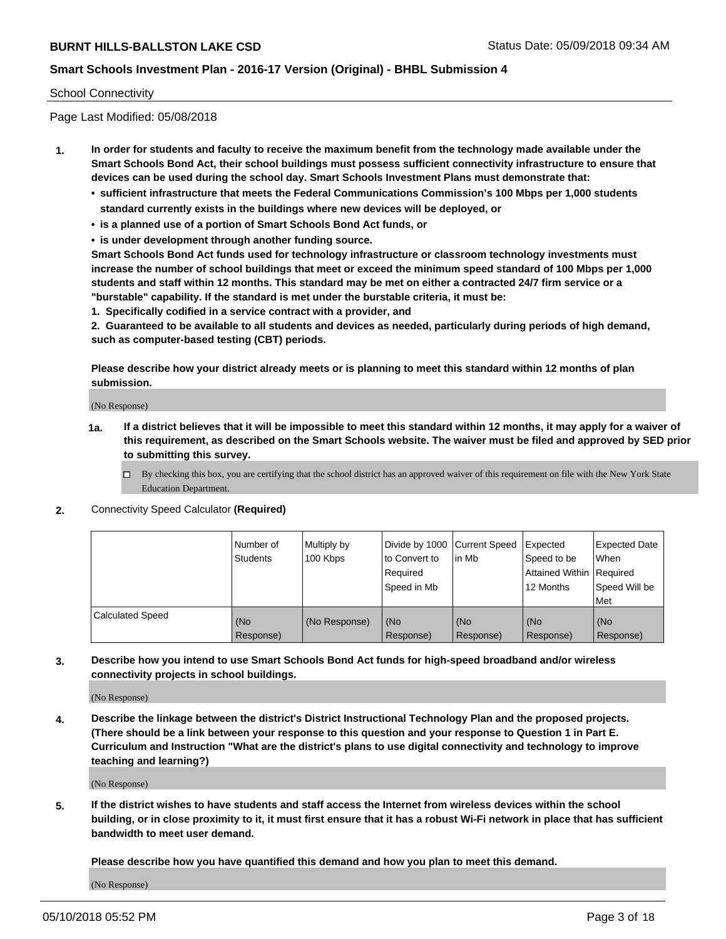#### School Connectivity

Page Last Modified: 05/08/2018

- **1. In order for students and faculty to receive the maximum benefit from the technology made available under the Smart Schools Bond Act, their school buildings must possess sufficient connectivity infrastructure to ensure that devices can be used during the school day. Smart Schools Investment Plans must demonstrate that:**
	- **• sufficient infrastructure that meets the Federal Communications Commission's 100 Mbps per 1,000 students standard currently exists in the buildings where new devices will be deployed, or**
	- **• is a planned use of a portion of Smart Schools Bond Act funds, or**
	- **• is under development through another funding source.**

**Smart Schools Bond Act funds used for technology infrastructure or classroom technology investments must increase the number of school buildings that meet or exceed the minimum speed standard of 100 Mbps per 1,000 students and staff within 12 months. This standard may be met on either a contracted 24/7 firm service or a "burstable" capability. If the standard is met under the burstable criteria, it must be:**

**1. Specifically codified in a service contract with a provider, and**

**2. Guaranteed to be available to all students and devices as needed, particularly during periods of high demand, such as computer-based testing (CBT) periods.**

**Please describe how your district already meets or is planning to meet this standard within 12 months of plan submission.**

(No Response)

- **1a. If a district believes that it will be impossible to meet this standard within 12 months, it may apply for a waiver of this requirement, as described on the Smart Schools website. The waiver must be filed and approved by SED prior to submitting this survey.**
	- By checking this box, you are certifying that the school district has an approved waiver of this requirement on file with the New York State Education Department.
- **2.** Connectivity Speed Calculator **(Required)**

|                         | l Number of<br><b>Students</b> | Multiply by<br>100 Kbps | Divide by 1000 Current Speed<br>to Convert to<br>Required<br>l Speed in Mb | lin Mb           | Expected<br>Speed to be<br>Attained Within Required<br>12 Months | <b>Expected Date</b><br><b>When</b><br>Speed Will be<br>l Met |
|-------------------------|--------------------------------|-------------------------|----------------------------------------------------------------------------|------------------|------------------------------------------------------------------|---------------------------------------------------------------|
| <b>Calculated Speed</b> | (No<br>Response)               | (No Response)           | (No<br>Response)                                                           | (No<br>Response) | (No<br>Response)                                                 | l (No<br>Response)                                            |

**3. Describe how you intend to use Smart Schools Bond Act funds for high-speed broadband and/or wireless connectivity projects in school buildings.**

(No Response)

**4. Describe the linkage between the district's District Instructional Technology Plan and the proposed projects. (There should be a link between your response to this question and your response to Question 1 in Part E. Curriculum and Instruction "What are the district's plans to use digital connectivity and technology to improve teaching and learning?)**

(No Response)

**5. If the district wishes to have students and staff access the Internet from wireless devices within the school building, or in close proximity to it, it must first ensure that it has a robust Wi-Fi network in place that has sufficient bandwidth to meet user demand.**

**Please describe how you have quantified this demand and how you plan to meet this demand.**

(No Response)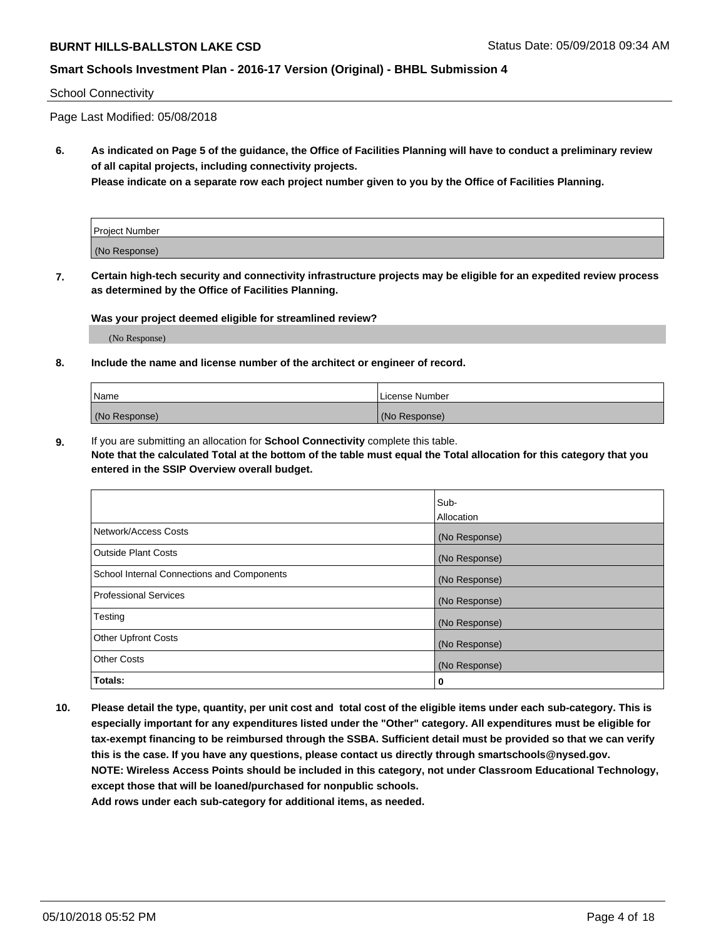### **Smart Schools Investment Plan - 2016-17 Version (Original) - BHBL Submission 4**

#### School Connectivity

Page Last Modified: 05/08/2018

**6. As indicated on Page 5 of the guidance, the Office of Facilities Planning will have to conduct a preliminary review of all capital projects, including connectivity projects.**

**Please indicate on a separate row each project number given to you by the Office of Facilities Planning.**

| Project Number |  |
|----------------|--|
| (No Response)  |  |

**7. Certain high-tech security and connectivity infrastructure projects may be eligible for an expedited review process as determined by the Office of Facilities Planning.**

#### **Was your project deemed eligible for streamlined review?**

(No Response)

#### **8. Include the name and license number of the architect or engineer of record.**

| Name          | License Number |
|---------------|----------------|
| (No Response) | (No Response)  |

**9.** If you are submitting an allocation for **School Connectivity** complete this table.

**Note that the calculated Total at the bottom of the table must equal the Total allocation for this category that you entered in the SSIP Overview overall budget.** 

|                                            | Sub-          |
|--------------------------------------------|---------------|
|                                            | Allocation    |
| Network/Access Costs                       | (No Response) |
| Outside Plant Costs                        | (No Response) |
| School Internal Connections and Components | (No Response) |
| Professional Services                      | (No Response) |
| Testing                                    | (No Response) |
| <b>Other Upfront Costs</b>                 | (No Response) |
| <b>Other Costs</b>                         | (No Response) |
| Totals:                                    | 0             |

**10. Please detail the type, quantity, per unit cost and total cost of the eligible items under each sub-category. This is especially important for any expenditures listed under the "Other" category. All expenditures must be eligible for tax-exempt financing to be reimbursed through the SSBA. Sufficient detail must be provided so that we can verify this is the case. If you have any questions, please contact us directly through smartschools@nysed.gov. NOTE: Wireless Access Points should be included in this category, not under Classroom Educational Technology, except those that will be loaned/purchased for nonpublic schools.**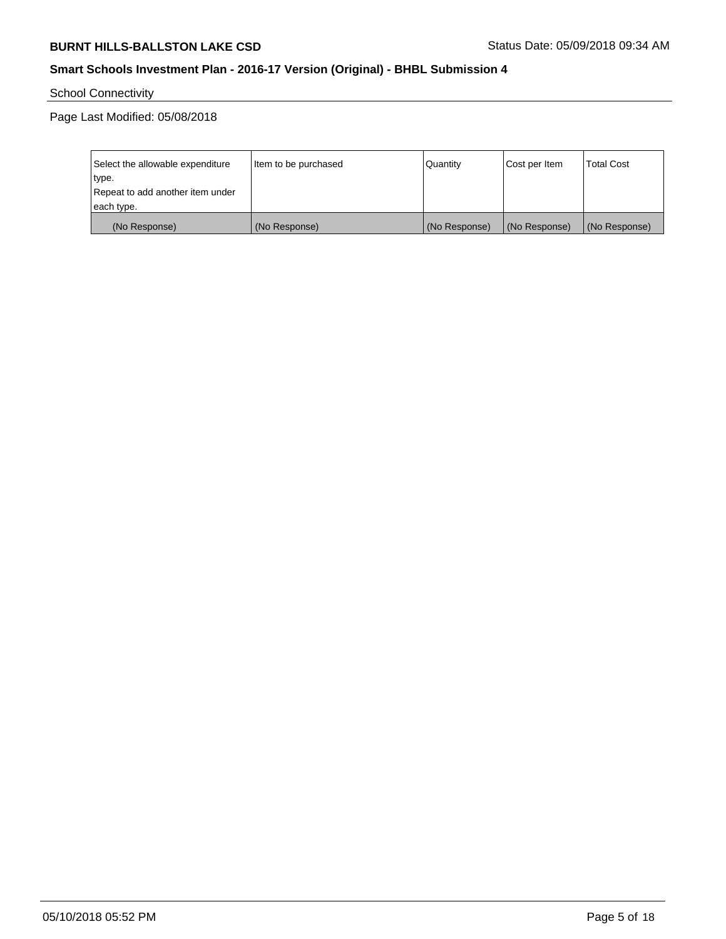School Connectivity

| Select the allowable expenditure | Item to be purchased | Quantity      | Cost per Item | <b>Total Cost</b> |
|----------------------------------|----------------------|---------------|---------------|-------------------|
| type.                            |                      |               |               |                   |
| Repeat to add another item under |                      |               |               |                   |
| each type.                       |                      |               |               |                   |
| (No Response)                    | (No Response)        | (No Response) | (No Response) | (No Response)     |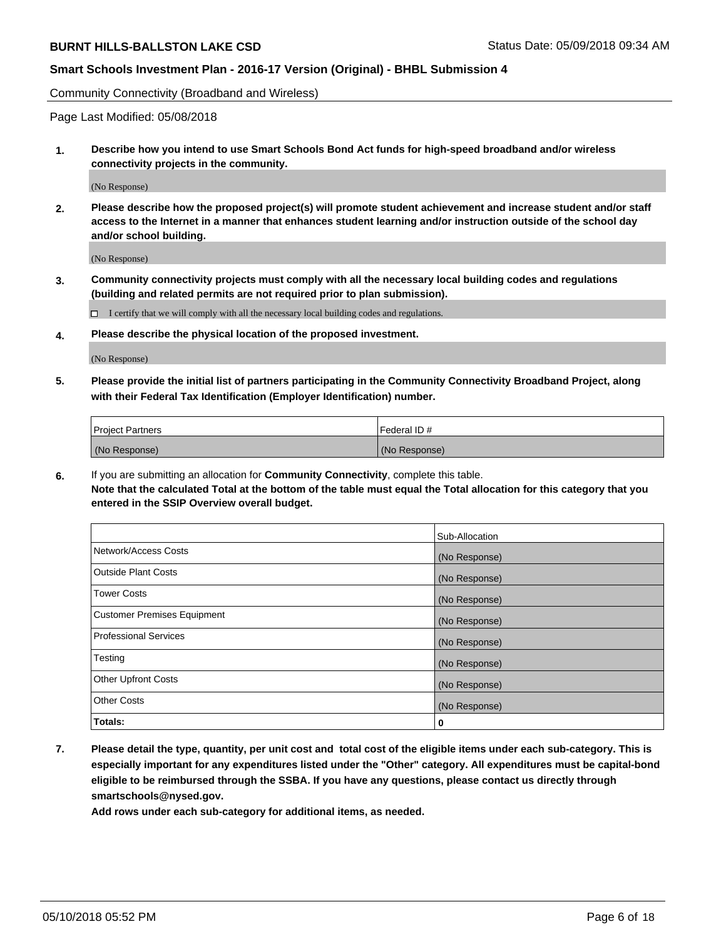Community Connectivity (Broadband and Wireless)

Page Last Modified: 05/08/2018

**1. Describe how you intend to use Smart Schools Bond Act funds for high-speed broadband and/or wireless connectivity projects in the community.**

(No Response)

**2. Please describe how the proposed project(s) will promote student achievement and increase student and/or staff access to the Internet in a manner that enhances student learning and/or instruction outside of the school day and/or school building.**

(No Response)

**3. Community connectivity projects must comply with all the necessary local building codes and regulations (building and related permits are not required prior to plan submission).**

 $\Box$  I certify that we will comply with all the necessary local building codes and regulations.

**4. Please describe the physical location of the proposed investment.**

(No Response)

**5. Please provide the initial list of partners participating in the Community Connectivity Broadband Project, along with their Federal Tax Identification (Employer Identification) number.**

| <b>Project Partners</b> | Federal ID#   |
|-------------------------|---------------|
| (No Response)           | (No Response) |

**6.** If you are submitting an allocation for **Community Connectivity**, complete this table. **Note that the calculated Total at the bottom of the table must equal the Total allocation for this category that you entered in the SSIP Overview overall budget.**

|                                    | Sub-Allocation |
|------------------------------------|----------------|
| Network/Access Costs               | (No Response)  |
| Outside Plant Costs                | (No Response)  |
| <b>Tower Costs</b>                 | (No Response)  |
| <b>Customer Premises Equipment</b> | (No Response)  |
| <b>Professional Services</b>       | (No Response)  |
| Testing                            | (No Response)  |
| <b>Other Upfront Costs</b>         | (No Response)  |
| <b>Other Costs</b>                 | (No Response)  |
| Totals:                            | 0              |

**7. Please detail the type, quantity, per unit cost and total cost of the eligible items under each sub-category. This is especially important for any expenditures listed under the "Other" category. All expenditures must be capital-bond eligible to be reimbursed through the SSBA. If you have any questions, please contact us directly through smartschools@nysed.gov.**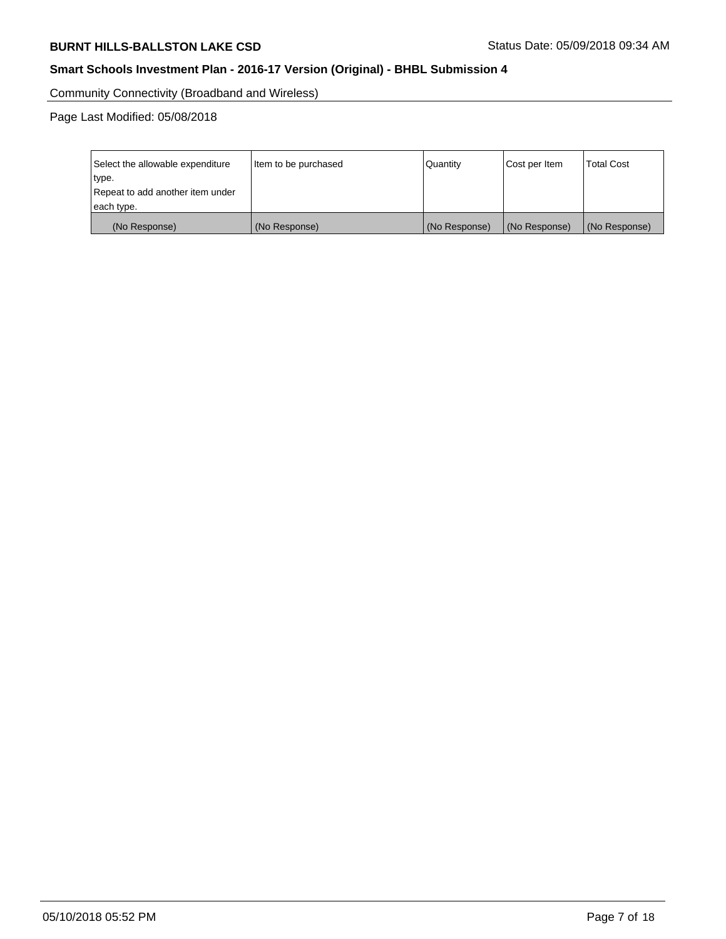Community Connectivity (Broadband and Wireless)

| Select the allowable expenditure | Item to be purchased | Quantity      | Cost per Item | <b>Total Cost</b> |
|----------------------------------|----------------------|---------------|---------------|-------------------|
| type.                            |                      |               |               |                   |
| Repeat to add another item under |                      |               |               |                   |
| each type.                       |                      |               |               |                   |
| (No Response)                    | (No Response)        | (No Response) | (No Response) | (No Response)     |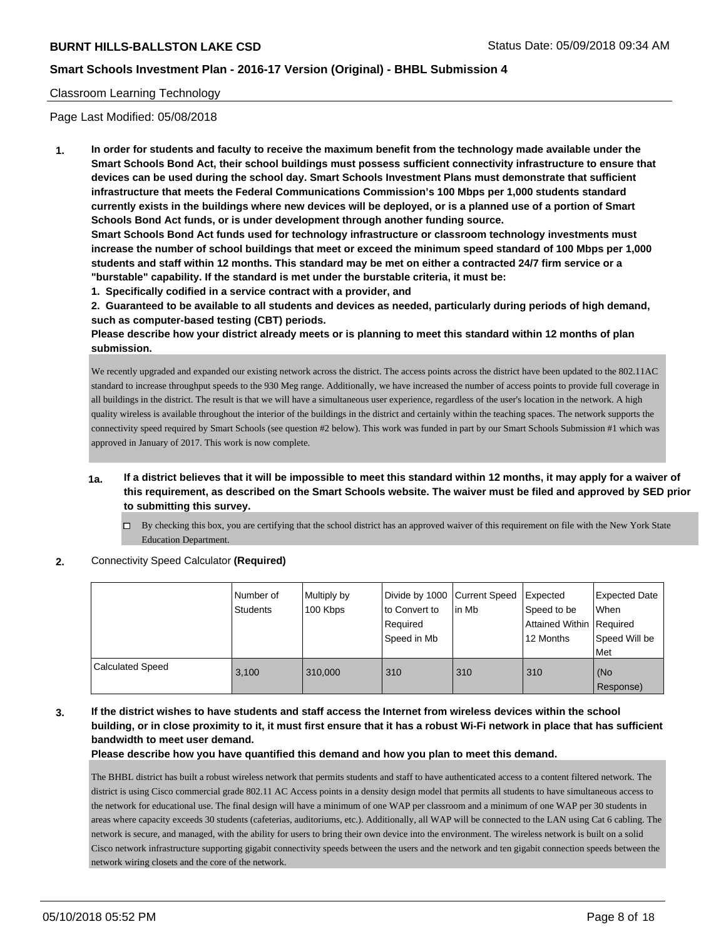#### Classroom Learning Technology

Page Last Modified: 05/08/2018

**1. In order for students and faculty to receive the maximum benefit from the technology made available under the Smart Schools Bond Act, their school buildings must possess sufficient connectivity infrastructure to ensure that devices can be used during the school day. Smart Schools Investment Plans must demonstrate that sufficient infrastructure that meets the Federal Communications Commission's 100 Mbps per 1,000 students standard currently exists in the buildings where new devices will be deployed, or is a planned use of a portion of Smart Schools Bond Act funds, or is under development through another funding source.**

**Smart Schools Bond Act funds used for technology infrastructure or classroom technology investments must increase the number of school buildings that meet or exceed the minimum speed standard of 100 Mbps per 1,000 students and staff within 12 months. This standard may be met on either a contracted 24/7 firm service or a "burstable" capability. If the standard is met under the burstable criteria, it must be:**

**1. Specifically codified in a service contract with a provider, and**

**2. Guaranteed to be available to all students and devices as needed, particularly during periods of high demand, such as computer-based testing (CBT) periods.**

**Please describe how your district already meets or is planning to meet this standard within 12 months of plan submission.**

We recently upgraded and expanded our existing network across the district. The access points across the district have been updated to the 802.11AC standard to increase throughput speeds to the 930 Meg range. Additionally, we have increased the number of access points to provide full coverage in all buildings in the district. The result is that we will have a simultaneous user experience, regardless of the user's location in the network. A high quality wireless is available throughout the interior of the buildings in the district and certainly within the teaching spaces. The network supports the connectivity speed required by Smart Schools (see question #2 below). This work was funded in part by our Smart Schools Submission #1 which was approved in January of 2017. This work is now complete.

- **1a. If a district believes that it will be impossible to meet this standard within 12 months, it may apply for a waiver of this requirement, as described on the Smart Schools website. The waiver must be filed and approved by SED prior to submitting this survey.**
	- $\Box$  By checking this box, you are certifying that the school district has an approved waiver of this requirement on file with the New York State Education Department.
- **2.** Connectivity Speed Calculator **(Required)**

|                         | Number of<br>Students | Multiply by<br>100 Kbps | Divide by 1000 Current Speed<br>to Convert to<br>Required<br>Speed in Mb | lin Mb | Expected<br>Speed to be<br>Attained Within   Required<br>12 Months | <b>Expected Date</b><br>When<br>Speed Will be<br>Met |
|-------------------------|-----------------------|-------------------------|--------------------------------------------------------------------------|--------|--------------------------------------------------------------------|------------------------------------------------------|
| <b>Calculated Speed</b> | 3.100                 | 310,000                 | 310                                                                      | 310    | 310                                                                | KNo<br>Response)                                     |

**3. If the district wishes to have students and staff access the Internet from wireless devices within the school building, or in close proximity to it, it must first ensure that it has a robust Wi-Fi network in place that has sufficient bandwidth to meet user demand.**

**Please describe how you have quantified this demand and how you plan to meet this demand.**

The BHBL district has built a robust wireless network that permits students and staff to have authenticated access to a content filtered network. The district is using Cisco commercial grade 802.11 AC Access points in a density design model that permits all students to have simultaneous access to the network for educational use. The final design will have a minimum of one WAP per classroom and a minimum of one WAP per 30 students in areas where capacity exceeds 30 students (cafeterias, auditoriums, etc.). Additionally, all WAP will be connected to the LAN using Cat 6 cabling. The network is secure, and managed, with the ability for users to bring their own device into the environment. The wireless network is built on a solid Cisco network infrastructure supporting gigabit connectivity speeds between the users and the network and ten gigabit connection speeds between the network wiring closets and the core of the network.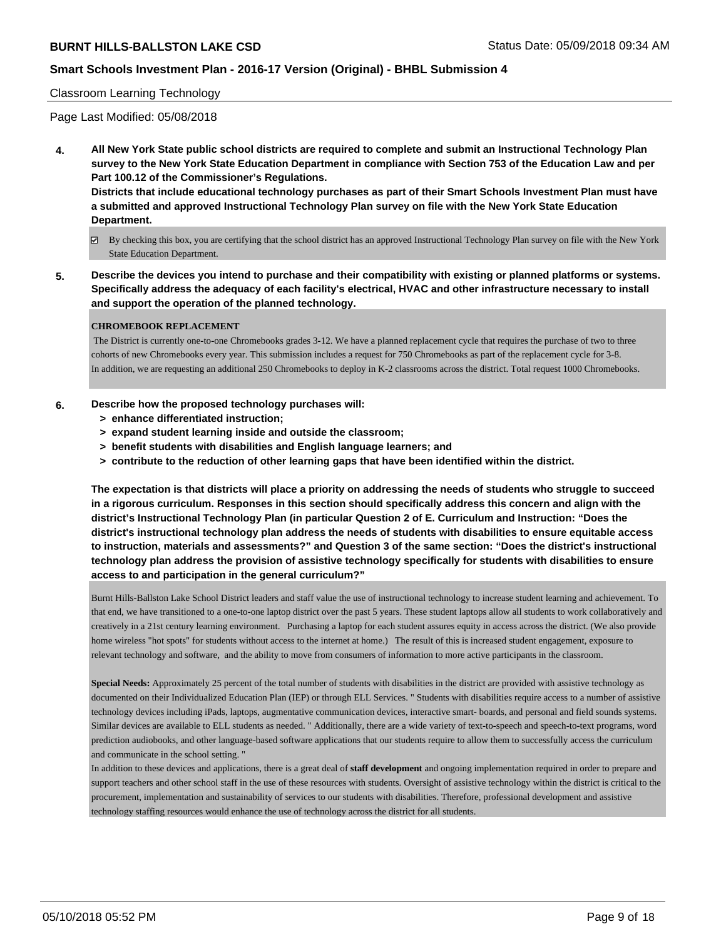### **Smart Schools Investment Plan - 2016-17 Version (Original) - BHBL Submission 4**

#### Classroom Learning Technology

Page Last Modified: 05/08/2018

**4. All New York State public school districts are required to complete and submit an Instructional Technology Plan survey to the New York State Education Department in compliance with Section 753 of the Education Law and per Part 100.12 of the Commissioner's Regulations.**

**Districts that include educational technology purchases as part of their Smart Schools Investment Plan must have a submitted and approved Instructional Technology Plan survey on file with the New York State Education Department.**

- By checking this box, you are certifying that the school district has an approved Instructional Technology Plan survey on file with the New York State Education Department.
- **5. Describe the devices you intend to purchase and their compatibility with existing or planned platforms or systems. Specifically address the adequacy of each facility's electrical, HVAC and other infrastructure necessary to install and support the operation of the planned technology.**

#### **CHROMEBOOK REPLACEMENT**

 The District is currently one-to-one Chromebooks grades 3-12. We have a planned replacement cycle that requires the purchase of two to three cohorts of new Chromebooks every year. This submission includes a request for 750 Chromebooks as part of the replacement cycle for 3-8. In addition, we are requesting an additional 250 Chromebooks to deploy in K-2 classrooms across the district. Total request 1000 Chromebooks.

#### **6. Describe how the proposed technology purchases will:**

- **> enhance differentiated instruction;**
- **> expand student learning inside and outside the classroom;**
- **> benefit students with disabilities and English language learners; and**
- **> contribute to the reduction of other learning gaps that have been identified within the district.**

**The expectation is that districts will place a priority on addressing the needs of students who struggle to succeed in a rigorous curriculum. Responses in this section should specifically address this concern and align with the district's Instructional Technology Plan (in particular Question 2 of E. Curriculum and Instruction: "Does the district's instructional technology plan address the needs of students with disabilities to ensure equitable access to instruction, materials and assessments?" and Question 3 of the same section: "Does the district's instructional technology plan address the provision of assistive technology specifically for students with disabilities to ensure access to and participation in the general curriculum?"**

Burnt Hills-Ballston Lake School District leaders and staff value the use of instructional technology to increase student learning and achievement. To that end, we have transitioned to a one-to-one laptop district over the past 5 years. These student laptops allow all students to work collaboratively and creatively in a 21st century learning environment. Purchasing a laptop for each student assures equity in access across the district. (We also provide home wireless "hot spots" for students without access to the internet at home.) The result of this is increased student engagement, exposure to relevant technology and software, and the ability to move from consumers of information to more active participants in the classroom.

Special Needs: Approximately 25 percent of the total number of students with disabilities in the district are provided with assistive technology as documented on their Individualized Education Plan (IEP) or through ELL Services. " Students with disabilities require access to a number of assistive technology devices including iPads, laptops, augmentative communication devices, interactive smart- boards, and personal and field sounds systems. Similar devices are available to ELL students as needed. " Additionally, there are a wide variety of text-to-speech and speech-to-text programs, word prediction audiobooks, and other language-based software applications that our students require to allow them to successfully access the curriculum and communicate in the school setting. "

In addition to these devices and applications, there is a great deal of **staff development** and ongoing implementation required in order to prepare and support teachers and other school staff in the use of these resources with students. Oversight of assistive technology within the district is critical to the procurement, implementation and sustainability of services to our students with disabilities. Therefore, professional development and assistive technology staffing resources would enhance the use of technology across the district for all students.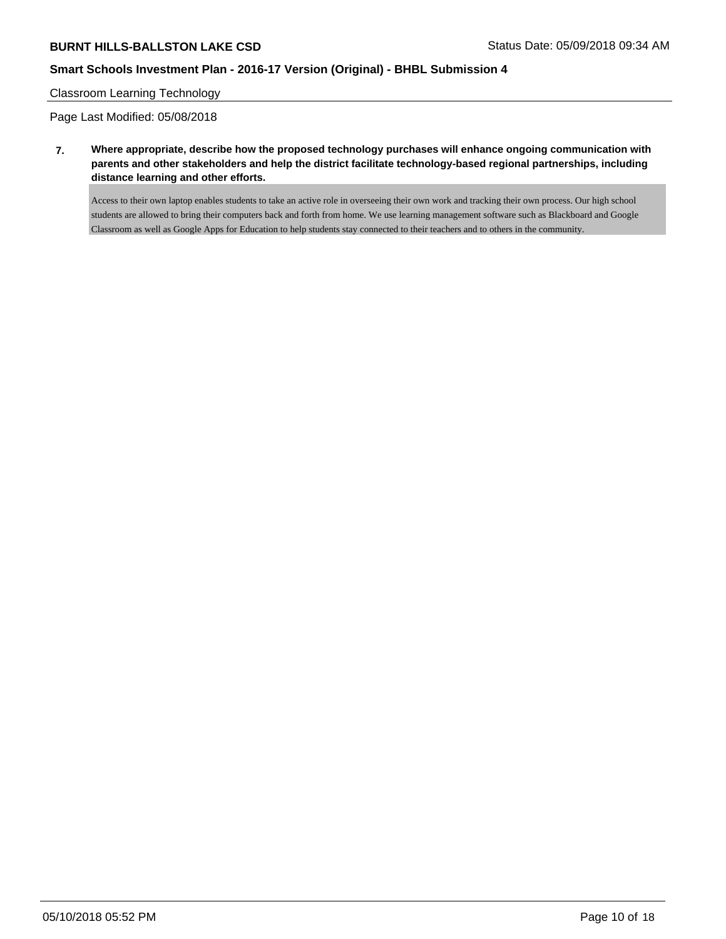### **Smart Schools Investment Plan - 2016-17 Version (Original) - BHBL Submission 4**

#### Classroom Learning Technology

Page Last Modified: 05/08/2018

**7. Where appropriate, describe how the proposed technology purchases will enhance ongoing communication with parents and other stakeholders and help the district facilitate technology-based regional partnerships, including distance learning and other efforts.**

Access to their own laptop enables students to take an active role in overseeing their own work and tracking their own process. Our high school students are allowed to bring their computers back and forth from home. We use learning management software such as Blackboard and Google Classroom as well as Google Apps for Education to help students stay connected to their teachers and to others in the community.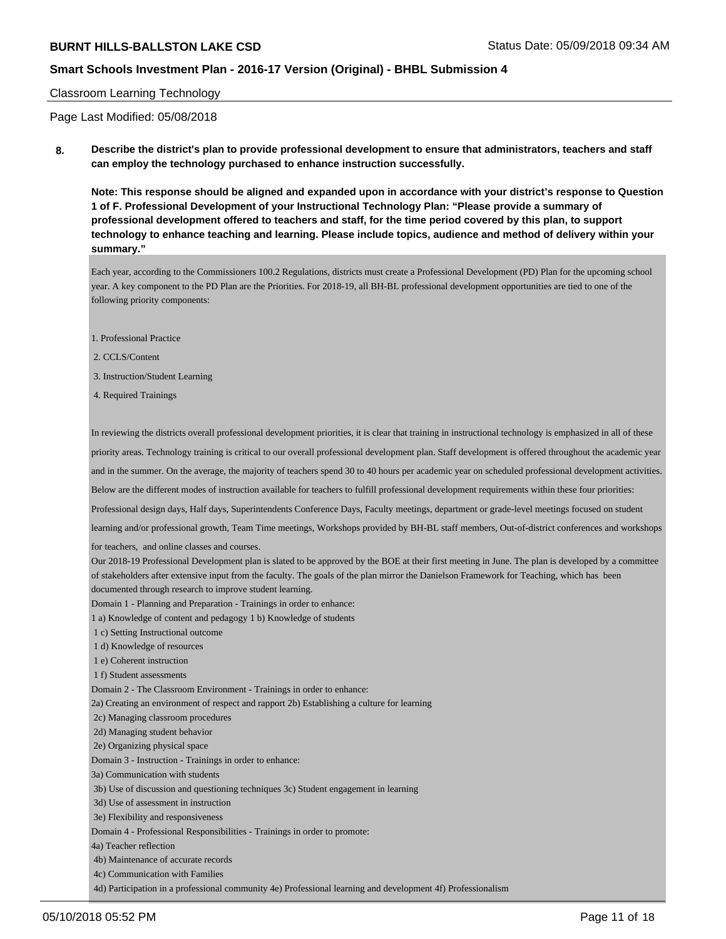### **Smart Schools Investment Plan - 2016-17 Version (Original) - BHBL Submission 4**

#### Classroom Learning Technology

Page Last Modified: 05/08/2018

**8. Describe the district's plan to provide professional development to ensure that administrators, teachers and staff can employ the technology purchased to enhance instruction successfully.**

**Note: This response should be aligned and expanded upon in accordance with your district's response to Question 1 of F. Professional Development of your Instructional Technology Plan: "Please provide a summary of professional development offered to teachers and staff, for the time period covered by this plan, to support technology to enhance teaching and learning. Please include topics, audience and method of delivery within your summary."**

Each year, according to the Commissioners 100.2 Regulations, districts must create a Professional Development (PD) Plan for the upcoming school year. A key component to the PD Plan are the Priorities. For 2018-19, all BH-BL professional development opportunities are tied to one of the following priority components:

- 1. Professional Practice
- 2. CCLS/Content
- 3. Instruction/Student Learning
- 4. Required Trainings

In reviewing the districts overall professional development priorities, it is clear that training in instructional technology is emphasized in all of these priority areas. Technology training is critical to our overall professional development plan. Staff development is offered throughout the academic year and in the summer. On the average, the majority of teachers spend 30 to 40 hours per academic year on scheduled professional development activities. Below are the different modes of instruction available for teachers to fulfill professional development requirements within these four priorities: Professional design days, Half days, Superintendents Conference Days, Faculty meetings, department or grade-level meetings focused on student learning and/or professional growth, Team Time meetings, Workshops provided by BH-BL staff members, Out-of-district conferences and workshops for teachers, and online classes and courses. Our 2018-19 Professional Development plan is slated to be approved by the BOE at their first meeting in June. The plan is developed by a committee of stakeholders after extensive input from the faculty. The goals of the plan mirror the Danielson Framework for Teaching, which has been documented through research to improve student learning. Domain 1 - Planning and Preparation - Trainings in order to enhance: 1 a) Knowledge of content and pedagogy 1 b) Knowledge of students 1 c) Setting Instructional outcome 1 d) Knowledge of resources 1 e) Coherent instruction 1 f) Student assessments Domain 2 - The Classroom Environment - Trainings in order to enhance: 2a) Creating an environment of respect and rapport 2b) Establishing a culture for learning 2c) Managing classroom procedures 2d) Managing student behavior 2e) Organizing physical space Domain 3 - Instruction - Trainings in order to enhance: 3a) Communication with students 3b) Use of discussion and questioning techniques 3c) Student engagement in learning 3d) Use of assessment in instruction 3e) Flexibility and responsiveness Domain 4 - Professional Responsibilities - Trainings in order to promote: 4a) Teacher reflection 4b) Maintenance of accurate records 4c) Communication with Families

4d) Participation in a professional community 4e) Professional learning and development 4f) Professionalism

05/10/2018 05:52 PM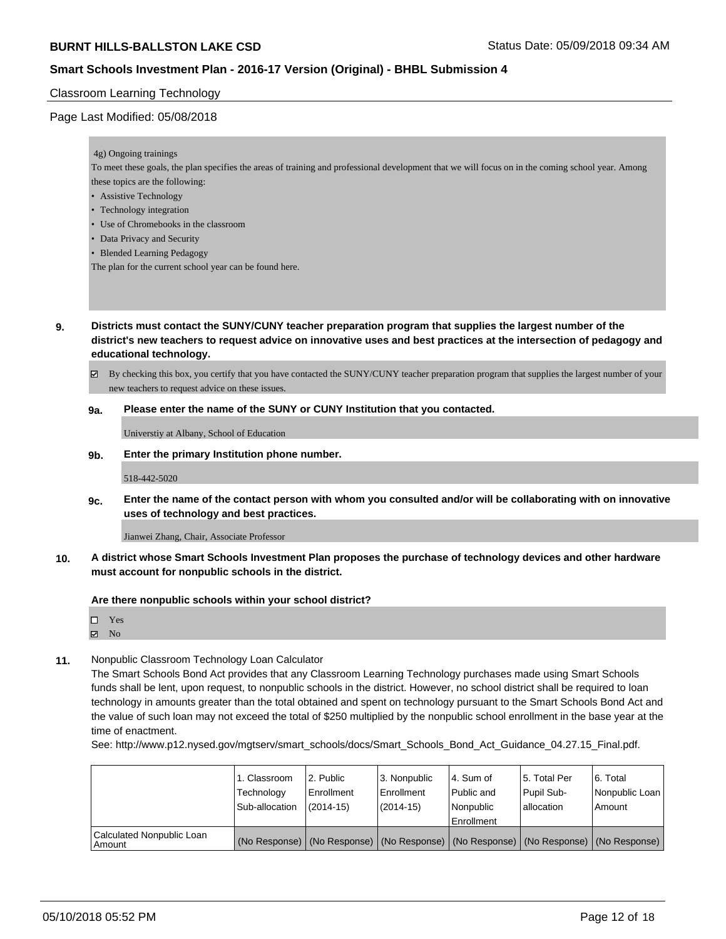### **Smart Schools Investment Plan - 2016-17 Version (Original) - BHBL Submission 4**

#### Classroom Learning Technology

#### Page Last Modified: 05/08/2018

#### 4g) Ongoing trainings

To meet these goals, the plan specifies the areas of training and professional development that we will focus on in the coming school year. Among these topics are the following:

• Assistive Technology

- Technology integration
- Use of Chromebooks in the classroom
- Data Privacy and Security
- Blended Learning Pedagogy

The plan for the current school year can be found here.

- **9. Districts must contact the SUNY/CUNY teacher preparation program that supplies the largest number of the district's new teachers to request advice on innovative uses and best practices at the intersection of pedagogy and educational technology.**
	- By checking this box, you certify that you have contacted the SUNY/CUNY teacher preparation program that supplies the largest number of your new teachers to request advice on these issues.

#### **9a. Please enter the name of the SUNY or CUNY Institution that you contacted.**

Universtiy at Albany, School of Education

**9b. Enter the primary Institution phone number.**

518-442-5020

**9c. Enter the name of the contact person with whom you consulted and/or will be collaborating with on innovative uses of technology and best practices.**

Jianwei Zhang, Chair, Associate Professor

**10. A district whose Smart Schools Investment Plan proposes the purchase of technology devices and other hardware must account for nonpublic schools in the district.**

**Are there nonpublic schools within your school district?**

| □ | Yes |  |
|---|-----|--|
| ☑ | No  |  |

**11.** Nonpublic Classroom Technology Loan Calculator

The Smart Schools Bond Act provides that any Classroom Learning Technology purchases made using Smart Schools funds shall be lent, upon request, to nonpublic schools in the district. However, no school district shall be required to loan technology in amounts greater than the total obtained and spent on technology pursuant to the Smart Schools Bond Act and the value of such loan may not exceed the total of \$250 multiplied by the nonpublic school enrollment in the base year at the time of enactment.

See: http://www.p12.nysed.gov/mgtserv/smart\_schools/docs/Smart\_Schools\_Bond\_Act\_Guidance\_04.27.15\_Final.pdf.

|                                       | 1. Classroom<br>Technology<br>Sub-allocation | 2. Public<br>l Enrollment<br>$(2014-15)$ | l 3. Nonpublic<br>l Enrollment<br>(2014-15) | l 4. Sum of<br>Public and<br>l Nonpublic<br>Enrollment | 15. Total Per<br>Pupil Sub-<br>allocation | l 6. Total<br>Nonpublic Loan<br>Amount                                                        |
|---------------------------------------|----------------------------------------------|------------------------------------------|---------------------------------------------|--------------------------------------------------------|-------------------------------------------|-----------------------------------------------------------------------------------------------|
| Calculated Nonpublic Loan<br>l Amount |                                              |                                          |                                             |                                                        |                                           | (No Response)   (No Response)   (No Response)   (No Response)   (No Response)   (No Response) |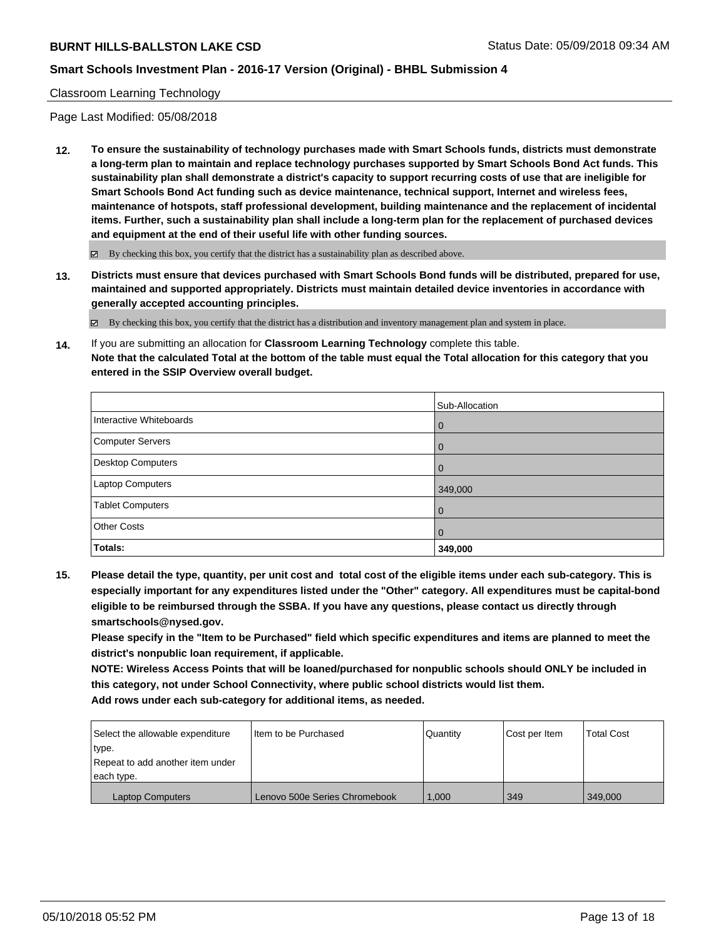#### Classroom Learning Technology

Page Last Modified: 05/08/2018

**12. To ensure the sustainability of technology purchases made with Smart Schools funds, districts must demonstrate a long-term plan to maintain and replace technology purchases supported by Smart Schools Bond Act funds. This sustainability plan shall demonstrate a district's capacity to support recurring costs of use that are ineligible for Smart Schools Bond Act funding such as device maintenance, technical support, Internet and wireless fees, maintenance of hotspots, staff professional development, building maintenance and the replacement of incidental items. Further, such a sustainability plan shall include a long-term plan for the replacement of purchased devices and equipment at the end of their useful life with other funding sources.**

 $\boxtimes$  By checking this box, you certify that the district has a sustainability plan as described above.

**13. Districts must ensure that devices purchased with Smart Schools Bond funds will be distributed, prepared for use, maintained and supported appropriately. Districts must maintain detailed device inventories in accordance with generally accepted accounting principles.**

By checking this box, you certify that the district has a distribution and inventory management plan and system in place.

**14.** If you are submitting an allocation for **Classroom Learning Technology** complete this table. **Note that the calculated Total at the bottom of the table must equal the Total allocation for this category that you entered in the SSIP Overview overall budget.**

|                         | Sub-Allocation |
|-------------------------|----------------|
| Interactive Whiteboards | l 0            |
| Computer Servers        | $\overline{0}$ |
| Desktop Computers       | $\overline{0}$ |
| Laptop Computers        | 349,000        |
| <b>Tablet Computers</b> | $\overline{0}$ |
| <b>Other Costs</b>      | $\overline{0}$ |
| Totals:                 | 349,000        |

**15. Please detail the type, quantity, per unit cost and total cost of the eligible items under each sub-category. This is especially important for any expenditures listed under the "Other" category. All expenditures must be capital-bond eligible to be reimbursed through the SSBA. If you have any questions, please contact us directly through smartschools@nysed.gov.**

**Please specify in the "Item to be Purchased" field which specific expenditures and items are planned to meet the district's nonpublic loan requirement, if applicable.**

**NOTE: Wireless Access Points that will be loaned/purchased for nonpublic schools should ONLY be included in this category, not under School Connectivity, where public school districts would list them. Add rows under each sub-category for additional items, as needed.**

| Select the allowable expenditure | I Item to be Purchased        | Quantity | <b>Cost per Item</b> | <b>Total Cost</b> |
|----------------------------------|-------------------------------|----------|----------------------|-------------------|
| type.                            |                               |          |                      |                   |
| Repeat to add another item under |                               |          |                      |                   |
| each type.                       |                               |          |                      |                   |
| <b>Laptop Computers</b>          | Lenovo 500e Series Chromebook | 1.000    | 349                  | 349,000           |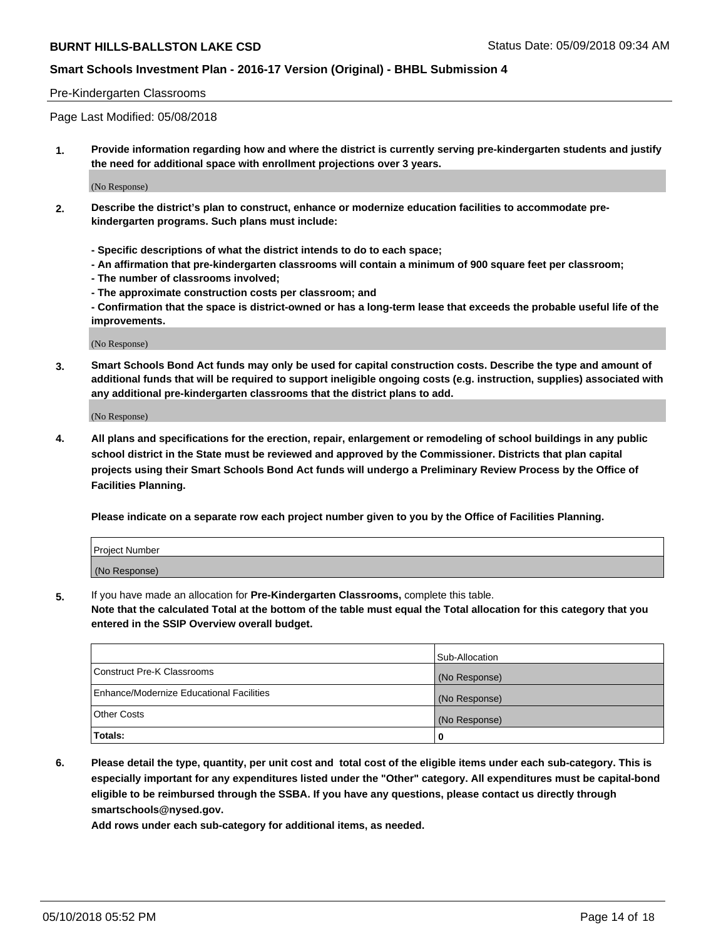### **Smart Schools Investment Plan - 2016-17 Version (Original) - BHBL Submission 4**

#### Pre-Kindergarten Classrooms

Page Last Modified: 05/08/2018

**1. Provide information regarding how and where the district is currently serving pre-kindergarten students and justify the need for additional space with enrollment projections over 3 years.**

(No Response)

- **2. Describe the district's plan to construct, enhance or modernize education facilities to accommodate prekindergarten programs. Such plans must include:**
	- **Specific descriptions of what the district intends to do to each space;**
	- **An affirmation that pre-kindergarten classrooms will contain a minimum of 900 square feet per classroom;**
	- **The number of classrooms involved;**
	- **The approximate construction costs per classroom; and**
	- **Confirmation that the space is district-owned or has a long-term lease that exceeds the probable useful life of the improvements.**

(No Response)

**3. Smart Schools Bond Act funds may only be used for capital construction costs. Describe the type and amount of additional funds that will be required to support ineligible ongoing costs (e.g. instruction, supplies) associated with any additional pre-kindergarten classrooms that the district plans to add.**

(No Response)

**4. All plans and specifications for the erection, repair, enlargement or remodeling of school buildings in any public school district in the State must be reviewed and approved by the Commissioner. Districts that plan capital projects using their Smart Schools Bond Act funds will undergo a Preliminary Review Process by the Office of Facilities Planning.**

**Please indicate on a separate row each project number given to you by the Office of Facilities Planning.**

| <b>Project Number</b> |  |
|-----------------------|--|
| (No Response)         |  |

**5.** If you have made an allocation for **Pre-Kindergarten Classrooms,** complete this table.

**Note that the calculated Total at the bottom of the table must equal the Total allocation for this category that you entered in the SSIP Overview overall budget.**

|                                          | Sub-Allocation |
|------------------------------------------|----------------|
| Construct Pre-K Classrooms               | (No Response)  |
| Enhance/Modernize Educational Facilities | (No Response)  |
| Other Costs                              | (No Response)  |
| Totals:                                  | 0              |

**6. Please detail the type, quantity, per unit cost and total cost of the eligible items under each sub-category. This is especially important for any expenditures listed under the "Other" category. All expenditures must be capital-bond eligible to be reimbursed through the SSBA. If you have any questions, please contact us directly through smartschools@nysed.gov.**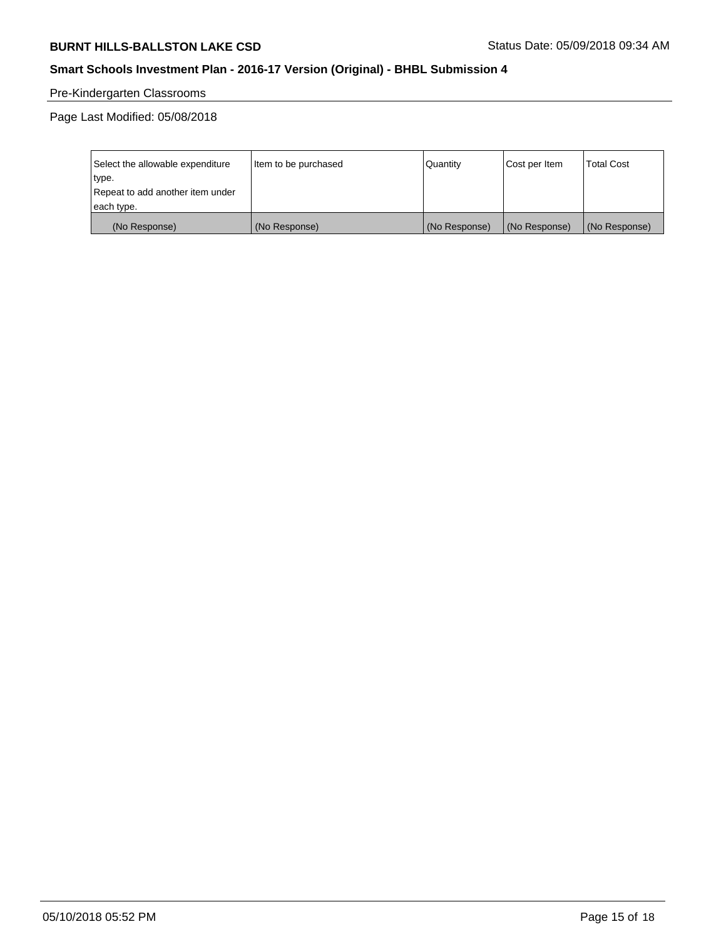# **Smart Schools Investment Plan - 2016-17 Version (Original) - BHBL Submission 4**

# Pre-Kindergarten Classrooms

| Select the allowable expenditure | Item to be purchased | Quantity      | Cost per Item | <b>Total Cost</b> |
|----------------------------------|----------------------|---------------|---------------|-------------------|
| type.                            |                      |               |               |                   |
| Repeat to add another item under |                      |               |               |                   |
| each type.                       |                      |               |               |                   |
| (No Response)                    | (No Response)        | (No Response) | (No Response) | (No Response)     |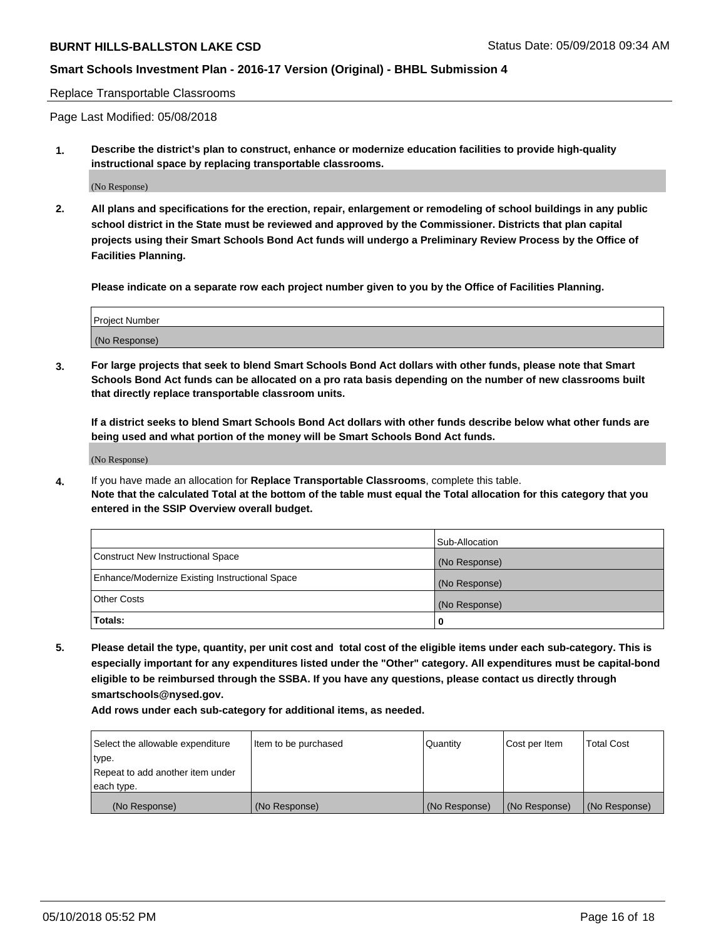### **Smart Schools Investment Plan - 2016-17 Version (Original) - BHBL Submission 4**

#### Replace Transportable Classrooms

Page Last Modified: 05/08/2018

**1. Describe the district's plan to construct, enhance or modernize education facilities to provide high-quality instructional space by replacing transportable classrooms.**

(No Response)

**2. All plans and specifications for the erection, repair, enlargement or remodeling of school buildings in any public school district in the State must be reviewed and approved by the Commissioner. Districts that plan capital projects using their Smart Schools Bond Act funds will undergo a Preliminary Review Process by the Office of Facilities Planning.**

**Please indicate on a separate row each project number given to you by the Office of Facilities Planning.**

| <b>Project Number</b> |  |
|-----------------------|--|
| (No Response)         |  |

**3. For large projects that seek to blend Smart Schools Bond Act dollars with other funds, please note that Smart Schools Bond Act funds can be allocated on a pro rata basis depending on the number of new classrooms built that directly replace transportable classroom units.**

**If a district seeks to blend Smart Schools Bond Act dollars with other funds describe below what other funds are being used and what portion of the money will be Smart Schools Bond Act funds.**

(No Response)

**4.** If you have made an allocation for **Replace Transportable Classrooms**, complete this table. **Note that the calculated Total at the bottom of the table must equal the Total allocation for this category that you entered in the SSIP Overview overall budget.**

|                                                | Sub-Allocation |
|------------------------------------------------|----------------|
| Construct New Instructional Space              | (No Response)  |
| Enhance/Modernize Existing Instructional Space | (No Response)  |
| Other Costs                                    | (No Response)  |
| Totals:                                        | 0              |

**5. Please detail the type, quantity, per unit cost and total cost of the eligible items under each sub-category. This is especially important for any expenditures listed under the "Other" category. All expenditures must be capital-bond eligible to be reimbursed through the SSBA. If you have any questions, please contact us directly through smartschools@nysed.gov.**

| Select the allowable expenditure | Item to be purchased | Quantity      | Cost per Item | <b>Total Cost</b> |
|----------------------------------|----------------------|---------------|---------------|-------------------|
| type.                            |                      |               |               |                   |
| Repeat to add another item under |                      |               |               |                   |
| each type.                       |                      |               |               |                   |
| (No Response)                    | (No Response)        | (No Response) | (No Response) | (No Response)     |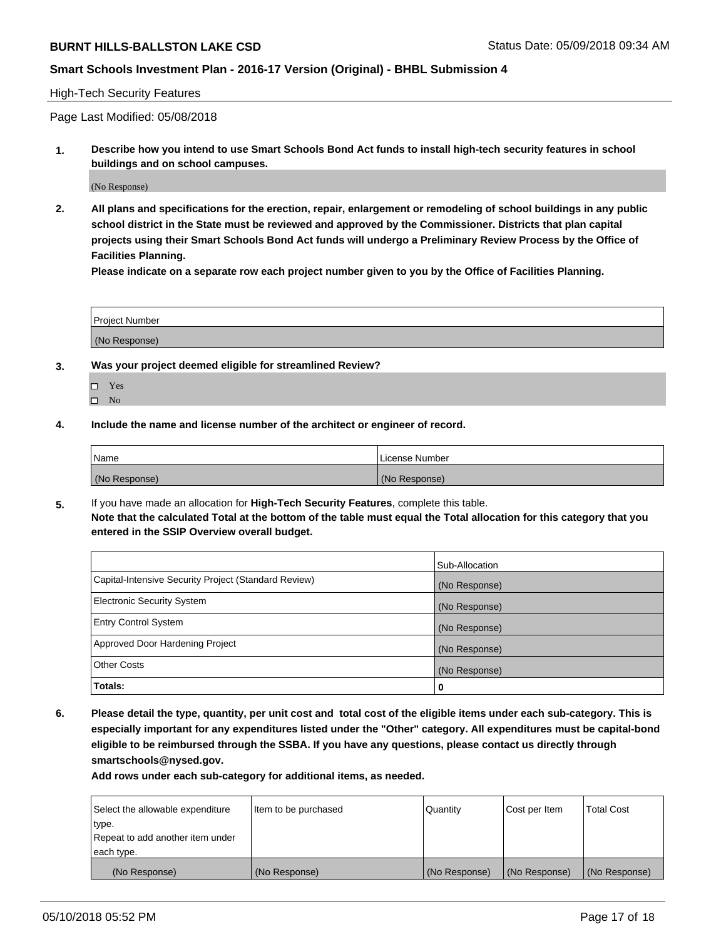### **Smart Schools Investment Plan - 2016-17 Version (Original) - BHBL Submission 4**

#### High-Tech Security Features

Page Last Modified: 05/08/2018

**1. Describe how you intend to use Smart Schools Bond Act funds to install high-tech security features in school buildings and on school campuses.**

(No Response)

**2. All plans and specifications for the erection, repair, enlargement or remodeling of school buildings in any public school district in the State must be reviewed and approved by the Commissioner. Districts that plan capital projects using their Smart Schools Bond Act funds will undergo a Preliminary Review Process by the Office of Facilities Planning.** 

**Please indicate on a separate row each project number given to you by the Office of Facilities Planning.**

| <b>Project Number</b> |  |  |
|-----------------------|--|--|
|                       |  |  |
| (No Response)         |  |  |

- **3. Was your project deemed eligible for streamlined Review?**
	- Yes  $\square$  No
- **4. Include the name and license number of the architect or engineer of record.**

| Name          | License Number |
|---------------|----------------|
| (No Response) | (No Response)  |

**5.** If you have made an allocation for **High-Tech Security Features**, complete this table. **Note that the calculated Total at the bottom of the table must equal the Total allocation for this category that you entered in the SSIP Overview overall budget.**

|                                                      | Sub-Allocation |
|------------------------------------------------------|----------------|
| Capital-Intensive Security Project (Standard Review) | (No Response)  |
| <b>Electronic Security System</b>                    | (No Response)  |
| <b>Entry Control System</b>                          | (No Response)  |
| Approved Door Hardening Project                      | (No Response)  |
| <b>Other Costs</b>                                   | (No Response)  |
| Totals:                                              | 0              |

**6. Please detail the type, quantity, per unit cost and total cost of the eligible items under each sub-category. This is especially important for any expenditures listed under the "Other" category. All expenditures must be capital-bond eligible to be reimbursed through the SSBA. If you have any questions, please contact us directly through smartschools@nysed.gov.**

| Select the allowable expenditure | Item to be purchased | Quantity      | Cost per Item | <b>Total Cost</b> |
|----------------------------------|----------------------|---------------|---------------|-------------------|
| type.                            |                      |               |               |                   |
| Repeat to add another item under |                      |               |               |                   |
| each type.                       |                      |               |               |                   |
| (No Response)                    | (No Response)        | (No Response) | (No Response) | (No Response)     |